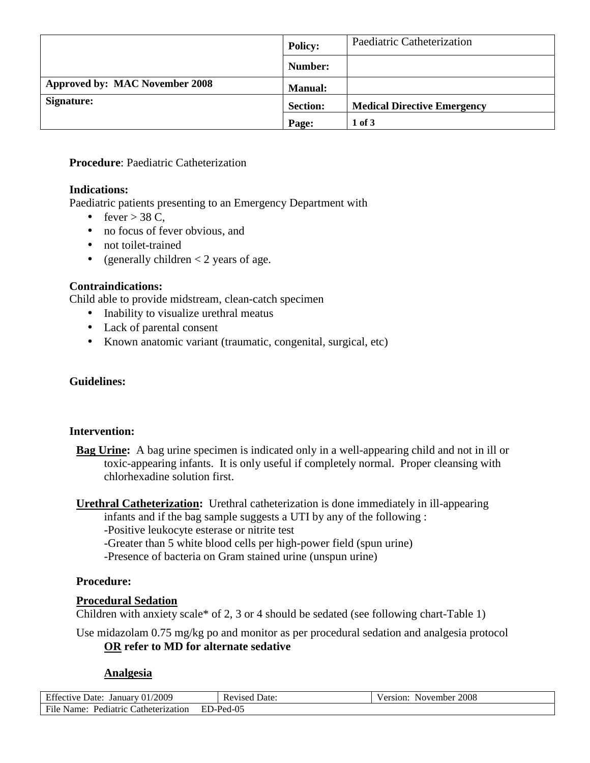|                                       | <b>Policy:</b>  | Paediatric Catheterization         |
|---------------------------------------|-----------------|------------------------------------|
|                                       | Number:         |                                    |
| <b>Approved by: MAC November 2008</b> | <b>Manual:</b>  |                                    |
| Signature:                            | <b>Section:</b> | <b>Medical Directive Emergency</b> |
|                                       | Page:           | 1 of 3                             |

**Procedure**: Paediatric Catheterization

#### **Indications:**

Paediatric patients presenting to an Emergency Department with

- fever  $>$  38 C,
- no focus of fever obvious, and
- not toilet-trained
- (generally children  $<$  2 years of age.

# **Contraindications:**

Child able to provide midstream, clean-catch specimen

- Inability to visualize urethral meatus
- Lack of parental consent
- Known anatomic variant (traumatic, congenital, surgical, etc)

# **Guidelines:**

## **Intervention:**

- **Bag Urine:** A bag urine specimen is indicated only in a well-appearing child and not in ill or toxic-appearing infants. It is only useful if completely normal. Proper cleansing with chlorhexadine solution first.
- **Urethral Catheterization:** Urethral catheterization is done immediately in ill-appearing infants and if the bag sample suggests a UTI by any of the following :

-Positive leukocyte esterase or nitrite test

-Greater than 5 white blood cells per high-power field (spun urine)

-Presence of bacteria on Gram stained urine (unspun urine)

## **Procedure:**

## **Procedural Sedation**

Children with anxiety scale\* of 2, 3 or 4 should be sedated (see following chart-Table 1)

Use midazolam 0.75 mg/kg po and monitor as per procedural sedation and analgesia protocol **OR refer to MD for alternate sedative** 

## **Analgesia**

| <b>Effective Date:</b><br>January $01/2009$ | <b>Revised Date:</b> | 2008<br>November<br>Version: |
|---------------------------------------------|----------------------|------------------------------|
| File Name:<br>Pediatric Catheterization     | $ED$ -Ped-05         |                              |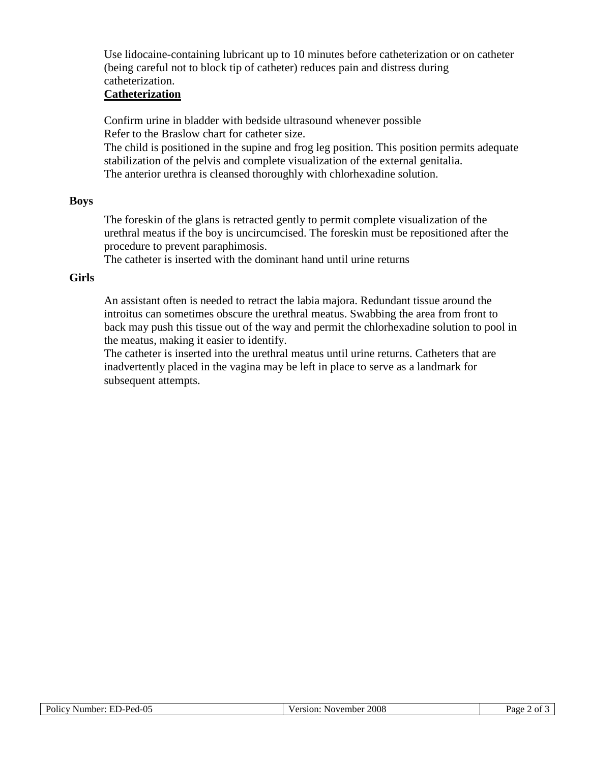Use lidocaine-containing lubricant up to 10 minutes before catheterization or on catheter (being careful not to block tip of catheter) reduces pain and distress during catheterization.

## **Catheterization**

Confirm urine in bladder with bedside ultrasound whenever possible Refer to the Braslow chart for catheter size. The child is positioned in the supine and frog leg position. This position permits adequate stabilization of the pelvis and complete visualization of the external genitalia.

The anterior urethra is cleansed thoroughly with chlorhexadine solution.

#### **Boys**

The foreskin of the glans is retracted gently to permit complete visualization of the urethral meatus if the boy is uncircumcised. The foreskin must be repositioned after the procedure to prevent paraphimosis.

The catheter is inserted with the dominant hand until urine returns

#### **Girls**

An assistant often is needed to retract the labia majora. Redundant tissue around the introitus can sometimes obscure the urethral meatus. Swabbing the area from front to back may push this tissue out of the way and permit the chlorhexadine solution to pool in the meatus, making it easier to identify.

The catheter is inserted into the urethral meatus until urine returns. Catheters that are inadvertently placed in the vagina may be left in place to serve as a landmark for subsequent attempts.